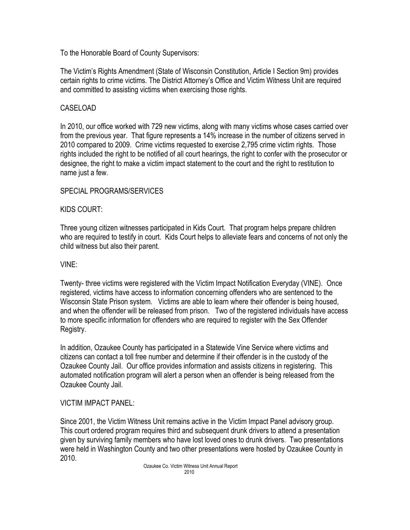To the Honorable Board of County Supervisors:

The Victim's Rights Amendment (State of Wisconsin Constitution, Article I Section 9m) provides certain rights to crime victims. The District Attorney's Office and Victim Witness Unit are required and committed to assisting victims when exercising those rights.

# CASELOAD

In 2010, our office worked with 729 new victims, along with many victims whose cases carried over from the previous year. That figure represents a 14% increase in the number of citizens served in 2010 compared to 2009. Crime victims requested to exercise 2,795 crime victim rights. Those rights included the right to be notified of all court hearings, the right to confer with the prosecutor or designee, the right to make a victim impact statement to the court and the right to restitution to name just a few.

### SPECIAL PROGRAMS/SERVICES

## KIDS COURT:

Three young citizen witnesses participated in Kids Court. That program helps prepare children who are required to testify in court. Kids Court helps to alleviate fears and concerns of not only the child witness but also their parent.

## VINE:

Twenty- three victims were registered with the Victim Impact Notification Everyday (VINE). Once registered, victims have access to information concerning offenders who are sentenced to the Wisconsin State Prison system. Victims are able to learn where their offender is being housed, and when the offender will be released from prison. Two of the registered individuals have access to more specific information for offenders who are required to register with the Sex Offender Registry.

In addition, Ozaukee County has participated in a Statewide Vine Service where victims and citizens can contact a toll free number and determine if their offender is in the custody of the Ozaukee County Jail. Our office provides information and assists citizens in registering. This automated notification program will alert a person when an offender is being released from the Ozaukee County Jail.

### VICTIM IMPACT PANEL:

Since 2001, the Victim Witness Unit remains active in the Victim Impact Panel advisory group. This court ordered program requires third and subsequent drunk drivers to attend a presentation given by surviving family members who have lost loved ones to drunk drivers. Two presentations were held in Washington County and two other presentations were hosted by Ozaukee County in 2010.